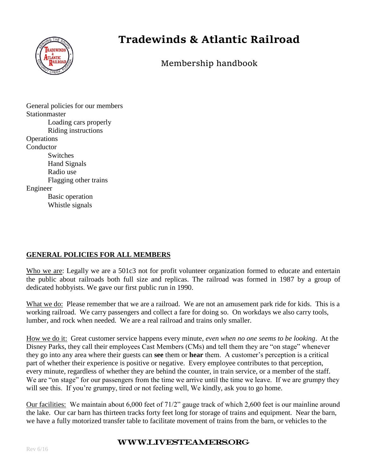

# **Tradewinds & Atlantic Railroad**

Membership handbook

General policies for our members **Stationmaster** Loading cars properly Riding instructions **Operations Conductor Switches** Hand Signals Radio use Flagging other trains Engineer Basic operation Whistle signals

#### **GENERAL POLICIES FOR ALL MEMBERS**

Who we are: Legally we are a 501c3 not for profit volunteer organization formed to educate and entertain the public about railroads both full size and replicas. The railroad was formed in 1987 by a group of dedicated hobbyists. We gave our first public run in 1990.

What we do: Please remember that we are a railroad. We are not an amusement park ride for kids. This is a working railroad. We carry passengers and collect a fare for doing so. On workdays we also carry tools, lumber, and rock when needed. We are a real railroad and trains only smaller.

How we do it: Great customer service happens every minute, *even when no one seems to be looking*. At the Disney Parks, they call their employees Cast Members (CMs) and tell them they are "on stage" whenever they go into any area where their guests can **see** them or **hear** them. A customer's perception is a critical part of whether their experience is positive or negative. Every employee contributes to that perception, every minute, regardless of whether they are behind the counter, in train service, or a member of the staff. We are "on stage" for our passengers from the time we arrive until the time we leave. If we are grumpy they will see this. If you're grumpy, tired or not feeling well, We kindly, ask you to go home.

Our facilities: We maintain about 6,000 feet of 71/2" gauge track of which 2,600 feet is our mainline around the lake. Our car barn has thirteen tracks forty feet long for storage of trains and equipment. Near the barn, we have a fully motorized transfer table to facilitate movement of trains from the barn, or vehicles to the

#### www.livesteamers.org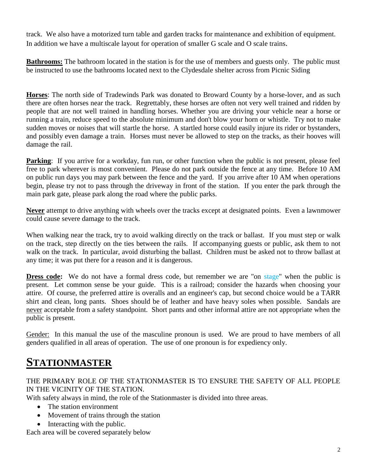track. We also have a motorized turn table and garden tracks for maintenance and exhibition of equipment. In addition we have a multiscale layout for operation of smaller G scale and O scale trains.

**Bathrooms:** The bathroom located in the station is for the use of members and guests only. The public must be instructed to use the bathrooms located next to the Clydesdale shelter across from Picnic Siding

**Horses**: The north side of Tradewinds Park was donated to Broward County by a horse-lover, and as such there are often horses near the track. Regrettably, these horses are often not very well trained and ridden by people that are not well trained in handling horses. Whether you are driving your vehicle near a horse or running a train, reduce speed to the absolute minimum and don't blow your horn or whistle. Try not to make sudden moves or noises that will startle the horse. A startled horse could easily injure its rider or bystanders, and possibly even damage a train. Horses must never be allowed to step on the tracks, as their hooves will damage the rail.

**Parking**: If you arrive for a workday, fun run, or other function when the public is not present, please feel free to park wherever is most convenient. Please do not park outside the fence at any time. Before 10 AM on public run days you may park between the fence and the yard. If you arrive after 10 AM when operations begin, please try not to pass through the driveway in front of the station. If you enter the park through the main park gate, please park along the road where the public parks.

**Never** attempt to drive anything with wheels over the tracks except at designated points. Even a lawnmower could cause severe damage to the track.

When walking near the track, try to avoid walking directly on the track or ballast. If you must step or walk on the track, step directly on the ties between the rails. If accompanying guests or public, ask them to not walk on the track. In particular, avoid disturbing the ballast. Children must be asked not to throw ballast at any time; it was put there for a reason and it is dangerous.

**Dress code:** We do not have a formal dress code, but remember we are "on stage" when the public is present. Let common sense be your guide. This is a railroad; consider the hazards when choosing your attire. Of course, the preferred attire is overalls and an engineer's cap, but second choice would be a TARR shirt and clean, long pants. Shoes should be of leather and have heavy soles when possible. Sandals are never acceptable from a safety standpoint. Short pants and other informal attire are not appropriate when the public is present.

Gender: In this manual the use of the masculine pronoun is used. We are proud to have members of all genders qualified in all areas of operation. The use of one pronoun is for expediency only.

# **STATIONMASTER**

#### THE PRIMARY ROLE OF THE STATIONMASTER IS TO ENSURE THE SAFETY OF ALL PEOPLE IN THE VICINITY OF THE STATION.

With safety always in mind, the role of the Station master is divided into three areas.

- The station environment
- Movement of trains through the station
- Interacting with the public.

Each area will be covered separately below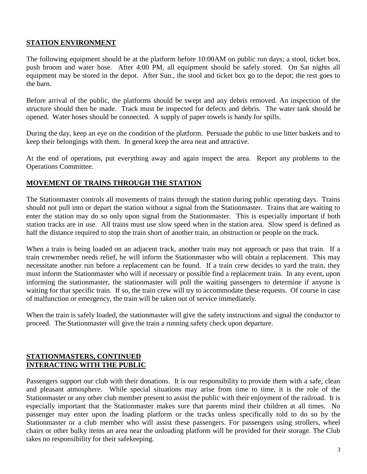#### **STATION ENVIRONMENT**

The following equipment should be at the platform before 10:00AM on public run days; a stool, ticket box, push broom and water hose. After 4:00 PM, all equipment should be safely stored. On Sat nights all equipment may be stored in the depot. After Sun., the stool and ticket box go to the depot; the rest goes to the barn.

Before arrival of the public, the platforms should be swept and any debris removed. An inspection of the structure should then be made. Track must be inspected for defects and debris. The water tank should be opened. Water hoses should be connected. A supply of paper towels is handy for spills.

During the day, keep an eye on the condition of the platform. Persuade the public to use litter baskets and to keep their belongings with them. In general keep the area neat and attractive.

At the end of operations, put everything away and again inspect the area. Report any problems to the Operations Committee.

#### **MOVEMENT OF TRAINS THROUGH THE STATION**

The Stationmaster controls all movements of trains through the station during public operating days. Trains should not pull into or depart the station without a signal from the Stationmaster. Trains that are waiting to enter the station may do so only upon signal from the Stationmaster. This is especially important if both station tracks are in use. All trains must use slow speed when in the station area. Slow speed is defined as half the distance required to stop the train short of another train, an obstruction or people on the track.

When a train is being loaded on an adjacent track, another train may not approach or pass that train. If a train crewmember needs relief, he will inform the Stationmaster who will obtain a replacement. This may necessitate another run before a replacement can be found. If a train crew decides to yard the train, they must inform the Stationmaster who will if necessary or possible find a replacement train. In any event, upon informing the stationmaster, the stationmaster will poll the waiting passengers to determine if anyone is waiting for that specific train. If so, the train crew will try to accommodate these requests. Of course in case of malfunction or emergency, the train will be taken out of service immediately.

When the train is safely loaded, the stationmaster will give the safety instructions and signal the conductor to proceed. The Stationmaster will give the train a running safety check upon departure.

#### **STATIONMASTERS, CONTINUED INTERACTING WITH THE PUBLIC**

Passengers support our club with their donations. It is our responsibility to provide them with a safe, clean and pleasant atmosphere. While special situations may arise from time to time, it is the role of the Stationmaster or any other club member present to assist the public with their enjoyment of the railroad. It is especially important that the Stationmaster makes sure that parents mind their children at all times. No passenger may enter upon the loading platform or the tracks unless specifically told to do so by the Stationmaster or a club member who will assist these passengers. For passengers using strollers, wheel chairs or other bulky items an area near the unloading platform will be provided for their storage. The Club takes no responsibility for their safekeeping.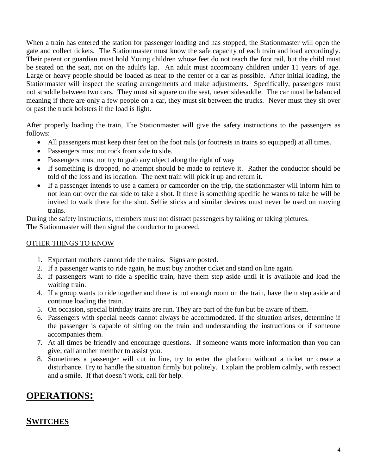When a train has entered the station for passenger loading and has stopped, the Stationmaster will open the gate and collect tickets. The Stationmaster must know the safe capacity of each train and load accordingly. Their parent or guardian must hold Young children whose feet do not reach the foot rail, but the child must be seated on the seat, not on the adult's lap. An adult must accompany children under 11 years of age. Large or heavy people should be loaded as near to the center of a car as possible. After initial loading, the Stationmaster will inspect the seating arrangements and make adjustments. Specifically, passengers must not straddle between two cars. They must sit square on the seat, never sidesaddle. The car must be balanced meaning if there are only a few people on a car, they must sit between the trucks. Never must they sit over or past the truck bolsters if the load is light.

After properly loading the train, The Stationmaster will give the safety instructions to the passengers as follows:

- All passengers must keep their feet on the foot rails (or footrests in trains so equipped) at all times.
- Passengers must not rock from side to side.
- Passengers must not try to grab any object along the right of way
- If something is dropped, no attempt should be made to retrieve it. Rather the conductor should be told of the loss and its location. The next train will pick it up and return it.
- If a passenger intends to use a camera or camcorder on the trip, the stationmaster will inform him to not lean out over the car side to take a shot. If there is something specific he wants to take he will be invited to walk there for the shot. Selfie sticks and similar devices must never be used on moving trains.

During the safety instructions, members must not distract passengers by talking or taking pictures. The Stationmaster will then signal the conductor to proceed.

#### OTHER THINGS TO KNOW

- 1. Expectant mothers cannot ride the trains. Signs are posted.
- 2. If a passenger wants to ride again, he must buy another ticket and stand on line again.
- 3. If passengers want to ride a specific train, have them step aside until it is available and load the waiting train.
- 4. If a group wants to ride together and there is not enough room on the train, have them step aside and continue loading the train.
- 5. On occasion, special birthday trains are run. They are part of the fun but be aware of them.
- 6. Passengers with special needs cannot always be accommodated. If the situation arises, determine if the passenger is capable of sitting on the train and understanding the instructions or if someone accompanies them.
- 7. At all times be friendly and encourage questions. If someone wants more information than you can give, call another member to assist you.
- 8. Sometimes a passenger will cut in line, try to enter the platform without a ticket or create a disturbance. Try to handle the situation firmly but politely. Explain the problem calmly, with respect and a smile. If that doesn't work, call for help.

### **OPERATIONS:**

#### **SWITCHES**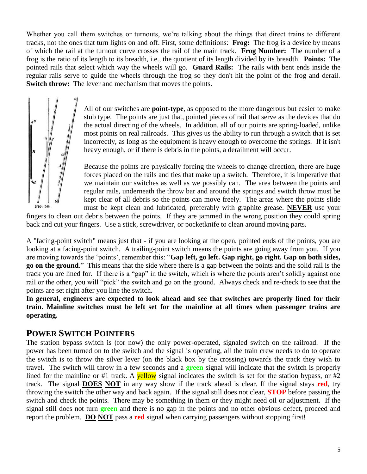Whether you call them switches or turnouts, we're talking about the things that direct trains to different tracks, not the ones that turn lights on and off. First, some definitions: **Frog:** The frog is a device by means of which the rail at the turnout curve crosses the rail of the main track. **Frog Number:** The number of a frog is the ratio of its length to its breadth, i.e., the quotient of its length divided by its breadth. **Points:** The pointed rails that select which way the wheels will go. **Guard Rails:** The rails with bent ends inside the regular rails serve to guide the wheels through the frog so they don't hit the point of the frog and derail. **Switch throw:** The lever and mechanism that moves the points.



All of our switches are **point-type**, as opposed to the more dangerous but easier to make stub type. The points are just that, pointed pieces of rail that serve as the devices that do the actual directing of the wheels. In addition, all of our points are spring-loaded, unlike most points on real railroads. This gives us the ability to run through a switch that is set incorrectly, as long as the equipment is heavy enough to overcome the springs. If it isn't heavy enough, or if there is debris in the points, a derailment will occur.

Because the points are physically forcing the wheels to change direction, there are huge forces placed on the rails and ties that make up a switch. Therefore, it is imperative that we maintain our switches as well as we possibly can. The area between the points and regular rails, underneath the throw bar and around the springs and switch throw must be kept clear of all debris so the points can move freely. The areas where the points slide must be kept clean and lubricated, preferably with graphite grease. **NEVER** use your

fingers to clean out debris between the points. If they are jammed in the wrong position they could spring back and cut your fingers. Use a stick, screwdriver, or pocketknife to clean around moving parts.

A "facing-point switch" means just that - if you are looking at the open, pointed ends of the points, you are looking at a facing-point switch. A trailing-point switch means the points are going away from you. If you are moving towards the 'points', remember this: "**Gap left, go left. Gap right, go right. Gap on both sides, go on the ground**." This means that the side where there is a gap between the points and the solid rail is the track you are lined for. If there is a "gap" in the switch, which is where the points aren't solidly against one rail or the other, you will "pick" the switch and go on the ground. Always check and re-check to see that the points are set right after you line the switch.

**In general, engineers are expected to look ahead and see that switches are properly lined for their train. Mainline switches must be left set for the mainline at all times when passenger trains are operating.**

### **POWER SWITCH POINTERS**

The station bypass switch is (for now) the only power-operated, signaled switch on the railroad. If the power has been turned on to the switch and the signal is operating, all the train crew needs to do to operate the switch is to throw the silver lever (on the black box by the crossing) towards the track they wish to travel. The switch will throw in a few seconds and a **green** signal will indicate that the switch is properly lined for the mainline or #1 track. A **yellow** signal indicates the switch is set for the station bypass, or #2 track. The signal **DOES NOT** in any way show if the track ahead is clear. If the signal stays **red**, try throwing the switch the other way and back again. If the signal still does not clear, **STOP** before passing the switch and check the points. There may be something in them or they might need oil or adjustment. If the signal still does not turn **green** and there is no gap in the points and no other obvious defect, proceed and report the problem. **DO NOT** pass a **red** signal when carrying passengers without stopping first!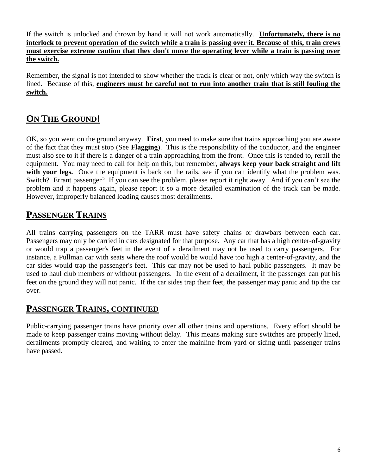If the switch is unlocked and thrown by hand it will not work automatically. **Unfortunately, there is no interlock to prevent operation of the switch while a train is passing over it. Because of this, train crews must exercise extreme caution that they don't move the operating lever while a train is passing over the switch.**

Remember, the signal is not intended to show whether the track is clear or not, only which way the switch is lined. Because of this, **engineers must be careful not to run into another train that is still fouling the switch.**

## **ON THE GROUND!**

OK, so you went on the ground anyway. **First**, you need to make sure that trains approaching you are aware of the fact that they must stop (See **Flagging**). This is the responsibility of the conductor, and the engineer must also see to it if there is a danger of a train approaching from the front. Once this is tended to, rerail the equipment. You may need to call for help on this, but remember, **always keep your back straight and lift**  with your legs. Once the equipment is back on the rails, see if you can identify what the problem was. Switch? Errant passenger? If you can see the problem, please report it right away. And if you can't see the problem and it happens again, please report it so a more detailed examination of the track can be made. However, improperly balanced loading causes most derailments.

### **PASSENGER TRAINS**

All trains carrying passengers on the TARR must have safety chains or drawbars between each car. Passengers may only be carried in cars designated for that purpose. Any car that has a high center-of-gravity or would trap a passenger's feet in the event of a derailment may not be used to carry passengers. For instance, a Pullman car with seats where the roof would be would have too high a center-of-gravity, and the car sides would trap the passenger's feet. This car may not be used to haul public passengers. It may be used to haul club members or without passengers. In the event of a derailment, if the passenger can put his feet on the ground they will not panic. If the car sides trap their feet, the passenger may panic and tip the car over.

### **PASSENGER TRAINS, CONTINUED**

Public-carrying passenger trains have priority over all other trains and operations. Every effort should be made to keep passenger trains moving without delay. This means making sure switches are properly lined, derailments promptly cleared, and waiting to enter the mainline from yard or siding until passenger trains have passed.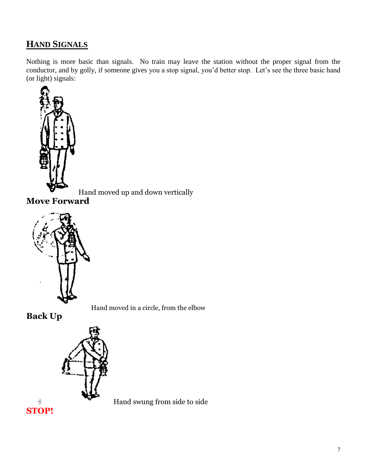### **HAND SIGNALS**

Nothing is more basic than signals. No train may leave the station without the proper signal from the conductor, and by golly, if someone gives you a stop signal, you'd better stop. Let's see the three basic hand (or light) signals:



Hand moved up and down vertically

**Move Forward**



Hand moved in a circle, from the elbow

**Back Up**



Hand swung from side to side

 $\frac{\partial}{\partial t}$ **STOP!**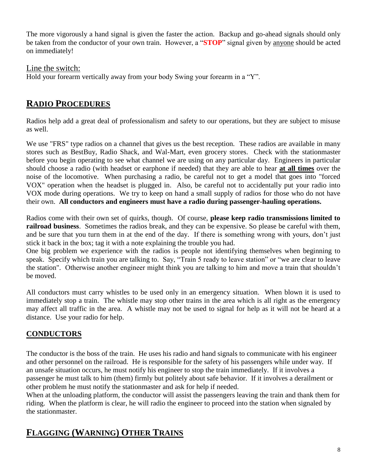The more vigorously a hand signal is given the faster the action. Backup and go-ahead signals should only be taken from the conductor of your own train. However, a "**STOP**" signal given by anyone should be acted on immediately!

Line the switch: Hold your forearm vertically away from your body Swing your forearm in a "Y".

### **RADIO PROCEDURES**

Radios help add a great deal of professionalism and safety to our operations, but they are subject to misuse as well.

We use "FRS" type radios on a channel that gives us the best reception. These radios are available in many stores such as BestBuy, Radio Shack, and Wal-Mart, even grocery stores. Check with the stationmaster before you begin operating to see what channel we are using on any particular day. Engineers in particular should choose a radio (with headset or earphone if needed) that they are able to hear **at all times** over the noise of the locomotive. When purchasing a radio, be careful not to get a model that goes into "forced VOX" operation when the headset is plugged in. Also, be careful not to accidentally put your radio into VOX mode during operations. We try to keep on hand a small supply of radios for those who do not have their own. **All conductors and engineers must have a radio during passenger-hauling operations.**

Radios come with their own set of quirks, though. Of course, **please keep radio transmissions limited to railroad business**. Sometimes the radios break, and they can be expensive. So please be careful with them, and be sure that you turn them in at the end of the day. If there is something wrong with yours, don't just stick it back in the box; tag it with a note explaining the trouble you had.

One big problem we experience with the radios is people not identifying themselves when beginning to speak. Specify which train you are talking to. Say, "Train 5 ready to leave station" or "we are clear to leave the station". Otherwise another engineer might think you are talking to him and move a train that shouldn't be moved.

All conductors must carry whistles to be used only in an emergency situation. When blown it is used to immediately stop a train. The whistle may stop other trains in the area which is all right as the emergency may affect all traffic in the area. A whistle may not be used to signal for help as it will not be heard at a distance. Use your radio for help.

### **CONDUCTORS**

The conductor is the boss of the train. He uses his radio and hand signals to communicate with his engineer and other personnel on the railroad. He is responsible for the safety of his passengers while under way. If an unsafe situation occurs, he must notify his engineer to stop the train immediately. If it involves a passenger he must talk to him (them) firmly but politely about safe behavior. If it involves a derailment or other problem he must notify the stationmaster and ask for help if needed.

When at the unloading platform, the conductor will assist the passengers leaving the train and thank them for riding. When the platform is clear, he will radio the engineer to proceed into the station when signaled by the stationmaster.

## **FLAGGING (WARNING) OTHER TRAINS**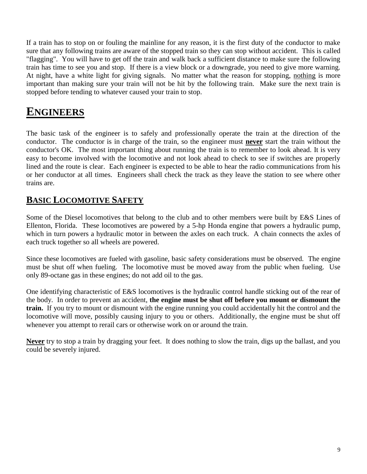If a train has to stop on or fouling the mainline for any reason, it is the first duty of the conductor to make sure that any following trains are aware of the stopped train so they can stop without accident. This is called "flagging". You will have to get off the train and walk back a sufficient distance to make sure the following train has time to see you and stop. If there is a view block or a downgrade, you need to give more warning. At night, have a white light for giving signals. No matter what the reason for stopping, nothing is more important than making sure your train will not be hit by the following train. Make sure the next train is stopped before tending to whatever caused your train to stop.

# **ENGINEERS**

The basic task of the engineer is to safely and professionally operate the train at the direction of the conductor. The conductor is in charge of the train, so the engineer must **never** start the train without the conductor's OK. The most important thing about running the train is to remember to look ahead. It is very easy to become involved with the locomotive and not look ahead to check to see if switches are properly lined and the route is clear. Each engineer is expected to be able to hear the radio communications from his or her conductor at all times. Engineers shall check the track as they leave the station to see where other trains are.

## **BASIC LOCOMOTIVE SAFETY**

Some of the Diesel locomotives that belong to the club and to other members were built by E&S Lines of Ellenton, Florida. These locomotives are powered by a 5-hp Honda engine that powers a hydraulic pump, which in turn powers a hydraulic motor in between the axles on each truck. A chain connects the axles of each truck together so all wheels are powered.

Since these locomotives are fueled with gasoline, basic safety considerations must be observed. The engine must be shut off when fueling. The locomotive must be moved away from the public when fueling. Use only 89-octane gas in these engines; do not add oil to the gas.

One identifying characteristic of E&S locomotives is the hydraulic control handle sticking out of the rear of the body. In order to prevent an accident, **the engine must be shut off before you mount or dismount the train.** If you try to mount or dismount with the engine running you could accidentally hit the control and the locomotive will move, possibly causing injury to you or others. Additionally, the engine must be shut off whenever you attempt to rerail cars or otherwise work on or around the train.

**Never** try to stop a train by dragging your feet. It does nothing to slow the train, digs up the ballast, and you could be severely injured.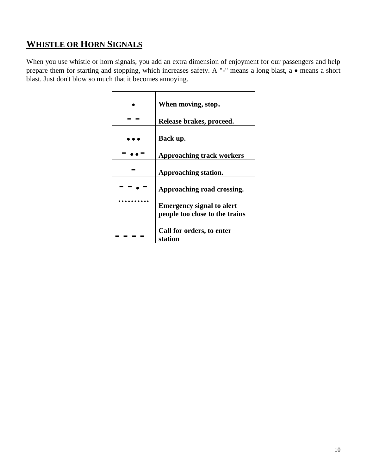# **WHISTLE OR HORN SIGNALS**

When you use whistle or horn signals, you add an extra dimension of enjoyment for our passengers and help prepare them for starting and stopping, which increases safety. A "-" means a long blast, a  $\bullet$  means a short blast. Just don't blow so much that it becomes annoying.

| When moving, stop.                                                 |
|--------------------------------------------------------------------|
| Release brakes, proceed.                                           |
| Back up.                                                           |
| <b>Approaching track workers</b>                                   |
| Approaching station.                                               |
| Approaching road crossing.                                         |
| <b>Emergency signal to alert</b><br>people too close to the trains |
| Call for orders, to enter<br>station                               |